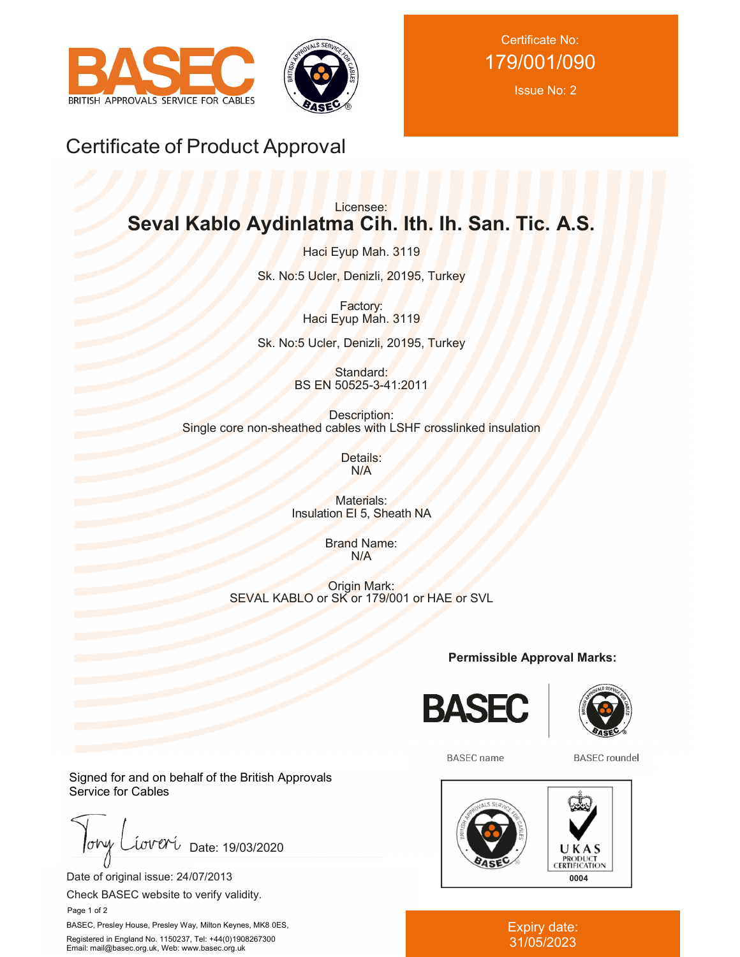



Certificate No: 179/001/090

Issue No: 2

# Certificate of Product Approval

# Licensee: **Seval Kablo Aydinlatma Cih. Ith. Ih. San. Tic. A.S.**

Haci Eyup Mah. 3119

Sk. No:5 Ucler, Denizli, 20195, Turkey

Factory: Haci Eyup Mah. 3119

Sk. No:5 Ucler, Denizli, 20195, Turkey

Standard: BS EN 50525-3-41:2011

Description: Single core non-sheathed cables with LSHF crosslinked insulation

> Details: N/A

Materials: Insulation EI 5, Sheath NA

> Brand Name: N/A

Origin Mark: SEVAL KABLO or SK or 179/001 or HAE or SVL

**Permissible Approval Marks:**





**BASEC** name

**BASEC** roundel



#### Expiry date: 31/05/2023

Signed for and on behalf of the British Approvals Service for Cables

 $low$ iover Date: 19/03/2020

Date of original issue: 24/07/2013

Check BASEC website to verify validity.

Page 1 of 2

BASEC, Presley House, Presley Way, Milton Keynes, MK8 0ES, Registered in England No. 1150237, Tel: +44(0)1908267300 Email: mail@basec.org.uk, Web: www.basec.org.uk